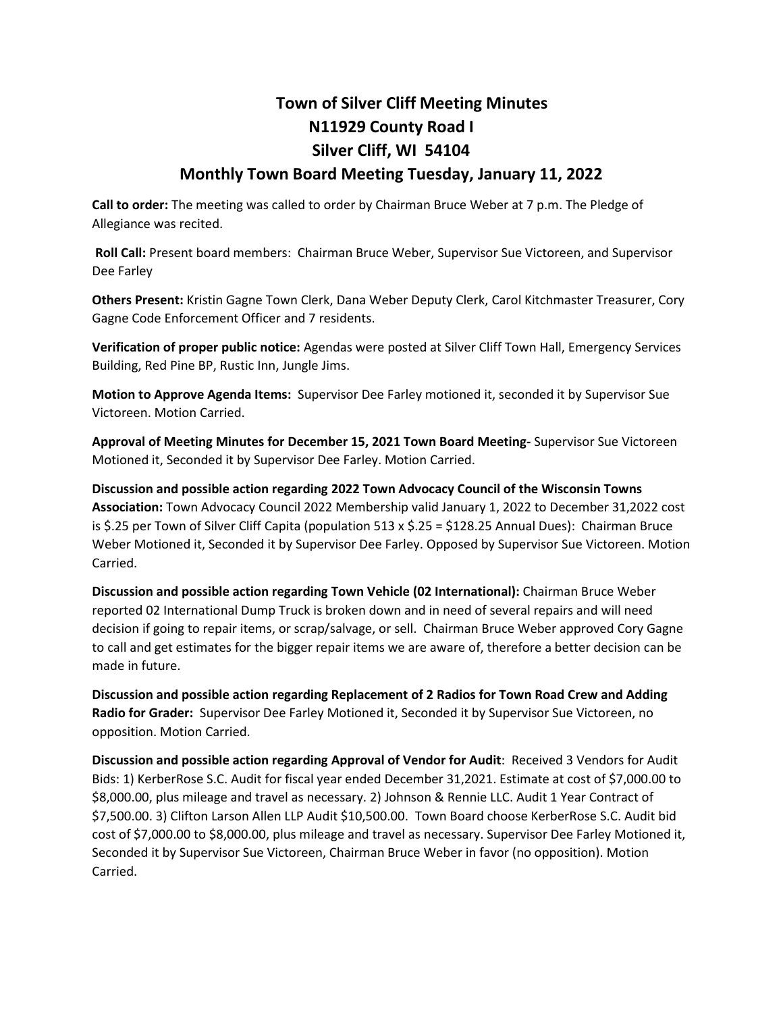## **Town of Silver Cliff Meeting Minutes N11929 County Road I Silver Cliff, WI 54104**

## **Monthly Town Board Meeting Tuesday, January 11, 2022**

**Call to order:** The meeting was called to order by Chairman Bruce Weber at 7 p.m. The Pledge of Allegiance was recited.

**Roll Call:** Present board members: Chairman Bruce Weber, Supervisor Sue Victoreen, and Supervisor Dee Farley

**Others Present:** Kristin Gagne Town Clerk, Dana Weber Deputy Clerk, Carol Kitchmaster Treasurer, Cory Gagne Code Enforcement Officer and 7 residents.

**Verification of proper public notice:** Agendas were posted at Silver Cliff Town Hall, Emergency Services Building, Red Pine BP, Rustic Inn, Jungle Jims.

**Motion to Approve Agenda Items:** Supervisor Dee Farley motioned it, seconded it by Supervisor Sue Victoreen. Motion Carried.

**Approval of Meeting Minutes for December 15, 2021 Town Board Meeting-** Supervisor Sue Victoreen Motioned it, Seconded it by Supervisor Dee Farley. Motion Carried.

**Discussion and possible action regarding 2022 Town Advocacy Council of the Wisconsin Towns Association:** Town Advocacy Council 2022 Membership valid January 1, 2022 to December 31,2022 cost is \$.25 per Town of Silver Cliff Capita (population 513 x \$.25 = \$128.25 Annual Dues): Chairman Bruce Weber Motioned it, Seconded it by Supervisor Dee Farley. Opposed by Supervisor Sue Victoreen. Motion Carried.

**Discussion and possible action regarding Town Vehicle (02 International):** Chairman Bruce Weber reported 02 International Dump Truck is broken down and in need of several repairs and will need decision if going to repair items, or scrap/salvage, or sell. Chairman Bruce Weber approved Cory Gagne to call and get estimates for the bigger repair items we are aware of, therefore a better decision can be made in future.

**Discussion and possible action regarding Replacement of 2 Radios for Town Road Crew and Adding Radio for Grader:** Supervisor Dee Farley Motioned it, Seconded it by Supervisor Sue Victoreen, no opposition. Motion Carried.

**Discussion and possible action regarding Approval of Vendor for Audit**: Received 3 Vendors for Audit Bids: 1) KerberRose S.C. Audit for fiscal year ended December 31,2021. Estimate at cost of \$7,000.00 to \$8,000.00, plus mileage and travel as necessary. 2) Johnson & Rennie LLC. Audit 1 Year Contract of \$7,500.00. 3) Clifton Larson Allen LLP Audit \$10,500.00. Town Board choose KerberRose S.C. Audit bid cost of \$7,000.00 to \$8,000.00, plus mileage and travel as necessary. Supervisor Dee Farley Motioned it, Seconded it by Supervisor Sue Victoreen, Chairman Bruce Weber in favor (no opposition). Motion Carried.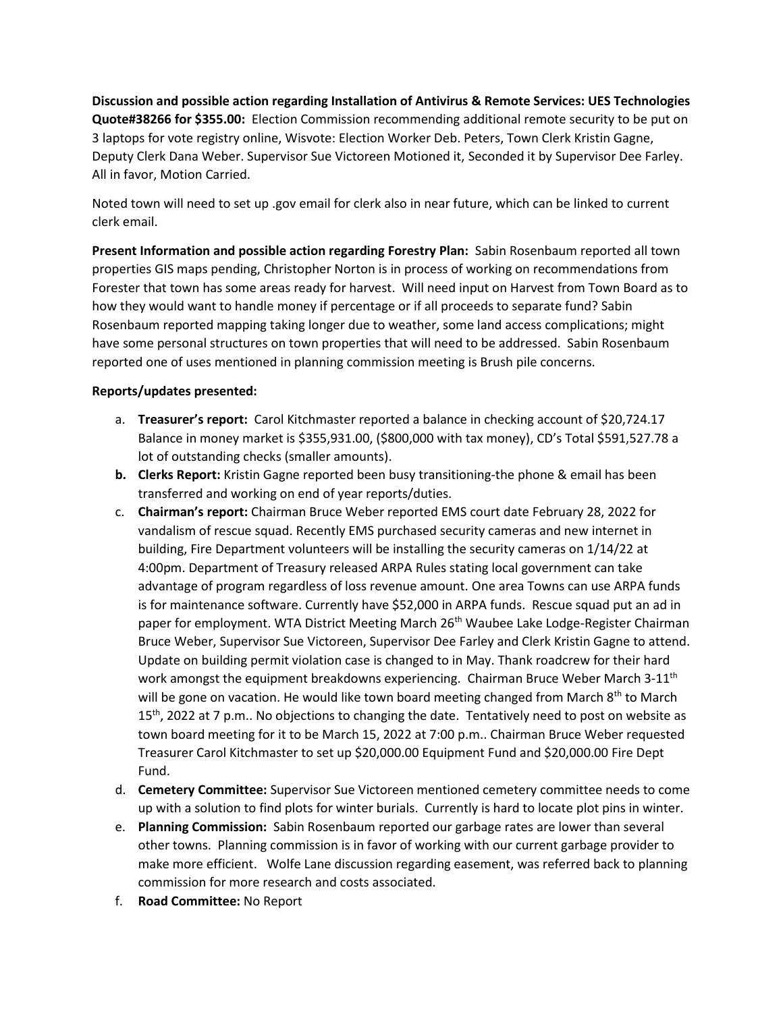**Discussion and possible action regarding Installation of Antivirus & Remote Services: UES Technologies Quote#38266 for \$355.00:** Election Commission recommending additional remote security to be put on 3 laptops for vote registry online, Wisvote: Election Worker Deb. Peters, Town Clerk Kristin Gagne, Deputy Clerk Dana Weber. Supervisor Sue Victoreen Motioned it, Seconded it by Supervisor Dee Farley. All in favor, Motion Carried.

Noted town will need to set up .gov email for clerk also in near future, which can be linked to current clerk email.

**Present Information and possible action regarding Forestry Plan:** Sabin Rosenbaum reported all town properties GIS maps pending, Christopher Norton is in process of working on recommendations from Forester that town has some areas ready for harvest. Will need input on Harvest from Town Board as to how they would want to handle money if percentage or if all proceeds to separate fund? Sabin Rosenbaum reported mapping taking longer due to weather, some land access complications; might have some personal structures on town properties that will need to be addressed. Sabin Rosenbaum reported one of uses mentioned in planning commission meeting is Brush pile concerns.

## **Reports/updates presented:**

- a. **Treasurer's report:** Carol Kitchmaster reported a balance in checking account of \$20,724.17 Balance in money market is \$355,931.00, (\$800,000 with tax money), CD's Total \$591,527.78 a lot of outstanding checks (smaller amounts).
- **b. Clerks Report:** Kristin Gagne reported been busy transitioning-the phone & email has been transferred and working on end of year reports/duties.
- c. **Chairman's report:** Chairman Bruce Weber reported EMS court date February 28, 2022 for vandalism of rescue squad. Recently EMS purchased security cameras and new internet in building, Fire Department volunteers will be installing the security cameras on 1/14/22 at 4:00pm. Department of Treasury released ARPA Rules stating local government can take advantage of program regardless of loss revenue amount. One area Towns can use ARPA funds is for maintenance software. Currently have \$52,000 in ARPA funds. Rescue squad put an ad in paper for employment. WTA District Meeting March 26<sup>th</sup> Waubee Lake Lodge-Register Chairman Bruce Weber, Supervisor Sue Victoreen, Supervisor Dee Farley and Clerk Kristin Gagne to attend. Update on building permit violation case is changed to in May. Thank roadcrew for their hard work amongst the equipment breakdowns experiencing. Chairman Bruce Weber March 3-11<sup>th</sup> will be gone on vacation. He would like town board meeting changed from March 8th to March 15<sup>th</sup>, 2022 at 7 p.m.. No objections to changing the date. Tentatively need to post on website as town board meeting for it to be March 15, 2022 at 7:00 p.m.. Chairman Bruce Weber requested Treasurer Carol Kitchmaster to set up \$20,000.00 Equipment Fund and \$20,000.00 Fire Dept Fund.
- d. **Cemetery Committee:** Supervisor Sue Victoreen mentioned cemetery committee needs to come up with a solution to find plots for winter burials. Currently is hard to locate plot pins in winter.
- e. **Planning Commission:** Sabin Rosenbaum reported our garbage rates are lower than several other towns. Planning commission is in favor of working with our current garbage provider to make more efficient. Wolfe Lane discussion regarding easement, was referred back to planning commission for more research and costs associated.
- f. **Road Committee:** No Report